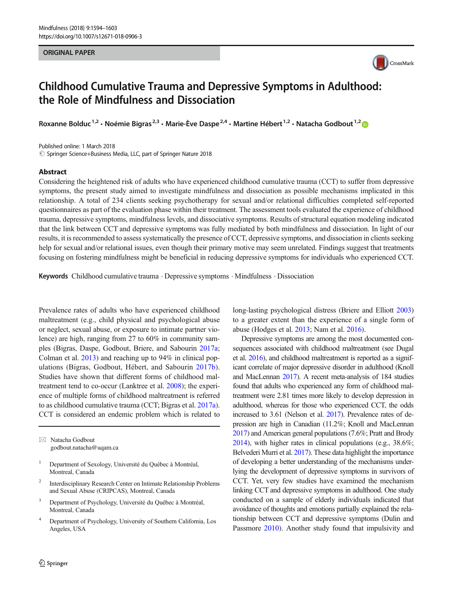#### ORIGINAL PAPER



# Childhood Cumulative Trauma and Depressive Symptoms in Adulthood: the Role of Mindfulness and Dissociation

Roxanne Bolduc<sup>1,2</sup> • Noémie Bigras<sup>2,3</sup> • Marie-Ève Daspe<sup>2,4</sup> • Martine Hébert<sup>1,2</sup> • Natacha Godbout<sup>1,2</sup>

Published online: 1 March 2018 © Springer Science+Business Media, LLC, part of Springer Nature 2018

#### Abstract

Considering the heightened risk of adults who have experienced childhood cumulative trauma (CCT) to suffer from depressive symptoms, the present study aimed to investigate mindfulness and dissociation as possible mechanisms implicated in this relationship. A total of 234 clients seeking psychotherapy for sexual and/or relational difficulties completed self-reported questionnaires as part of the evaluation phase within their treatment. The assessment tools evaluated the experience of childhood trauma, depressive symptoms, mindfulness levels, and dissociative symptoms. Results of structural equation modeling indicated that the link between CCT and depressive symptoms was fully mediated by both mindfulness and dissociation. In light of our results, it is recommended to assess systematically the presence of CCT, depressive symptoms, and dissociation in clients seeking help for sexual and/or relational issues, even though their primary motive may seem unrelated. Findings suggest that treatments focusing on fostering mindfulness might be beneficial in reducing depressive symptoms for individuals who experienced CCT.

Keywords Childhood cumulative trauma . Depressive symptoms . Mindfulness . Dissociation

Prevalence rates of adults who have experienced childhood maltreatment (e.g., child physical and psychological abuse or neglect, sexual abuse, or exposure to intimate partner violence) are high, ranging from 27 to 60% in community samples (Bigras, Daspe, Godbout, Briere, and Sabourin [2017a](#page-7-0); Colman et al. [2013](#page-7-0)) and reaching up to 94% in clinical populations (Bigras, Godbout, Hébert, and Sabourin [2017b](#page-7-0)). Studies have shown that different forms of childhood maltreatment tend to co-occur (Lanktree et al. [2008\)](#page-8-0); the experience of multiple forms of childhood maltreatment is referred to as childhood cumulative trauma (CCT; Bigras et al. [2017a\)](#page-7-0). CCT is considered an endemic problem which is related to

 $\boxtimes$  Natacha Godbout [godbout.natacha@uqam.ca](mailto:godbout.natacha@uqam.ca)

<sup>1</sup> Department of Sexology, Université du Québec à Montréal, Montreal, Canada

- <sup>2</sup> Interdisciplinary Research Center on Intimate Relationship Problems and Sexual Abuse (CRIPCAS), Montreal, Canada
- <sup>3</sup> Department of Psychology, Université du Québec à Montréal, Montreal, Canada
- <sup>4</sup> Department of Psychology, University of Southern California, Los Angeles, USA

long-lasting psychological distress (Briere and Elliott [2003](#page-7-0)) to a greater extent than the experience of a single form of abuse (Hodges et al. [2013;](#page-8-0) Nam et al. [2016\)](#page-8-0).

Depressive symptoms are among the most documented consequences associated with childhood maltreatment (see Dugal et al. [2016\)](#page-7-0), and childhood maltreatment is reported as a significant correlate of major depressive disorder in adulthood (Knoll and MacLennan [2017](#page-8-0)). A recent meta-analysis of 184 studies found that adults who experienced any form of childhood maltreatment were 2.81 times more likely to develop depression in adulthood, whereas for those who experienced CCT, the odds increased to 3.61 (Nelson et al. [2017](#page-8-0)). Prevalence rates of depression are high in Canadian (11.2%; Knoll and MacLennan [2017\)](#page-8-0) and American general populations (7.6%; Pratt and Brody [2014](#page-8-0)), with higher rates in clinical populations (e.g., 38.6%; Belvederi Murri et al. [2017](#page-7-0)). These data highlight the importance of developing a better understanding of the mechanisms underlying the development of depressive symptoms in survivors of CCT. Yet, very few studies have examined the mechanism linking CCT and depressive symptoms in adulthood. One study conducted on a sample of elderly individuals indicated that avoidance of thoughts and emotions partially explained the relationship between CCT and depressive symptoms (Dulin and Passmore [2010\)](#page-8-0). Another study found that impulsivity and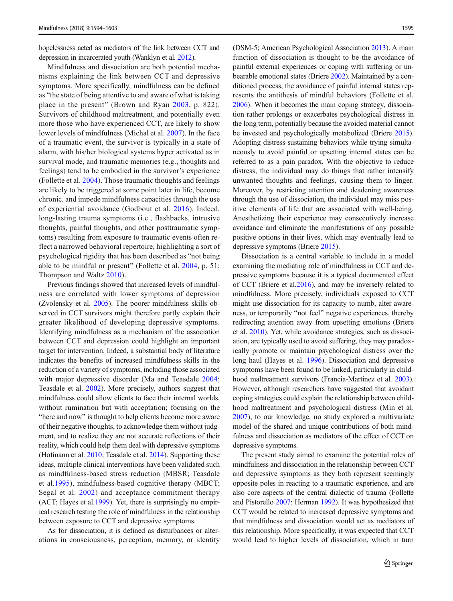hopelessness acted as mediators of the link between CCT and depression in incarcerated youth (Wanklyn et al. [2012](#page-9-0)).

Mindfulness and dissociation are both potential mechanisms explaining the link between CCT and depressive symptoms. More specifically, mindfulness can be defined as "the state of being attentive to and aware of what is taking place in the present" (Brown and Ryan [2003](#page-7-0), p. 822). Survivors of childhood maltreatment, and potentially even more those who have experienced CCT, are likely to show lower levels of mindfulness (Michal et al. [2007\)](#page-8-0). In the face of a traumatic event, the survivor is typically in a state of alarm, with his/her biological systems hyper activated as in survival mode, and traumatic memories (e.g., thoughts and feelings) tend to be embodied in the survivor's experience (Follette et al. [2004\)](#page-8-0). Those traumatic thoughts and feelings are likely to be triggered at some point later in life, become chronic, and impede mindfulness capacities through the use of experiential avoidance (Godbout et al. [2016\)](#page-8-0). Indeed, long-lasting trauma symptoms (i.e., flashbacks, intrusive thoughts, painful thoughts, and other posttraumatic symptoms) resulting from exposure to traumatic events often reflect a narrowed behavioral repertoire, highlighting a sort of psychological rigidity that has been described as "not being able to be mindful or present" (Follette et al. [2004,](#page-8-0) p. 51; Thompson and Waltz [2010](#page-9-0)).

Previous findings showed that increased levels of mindfulness are correlated with lower symptoms of depression (Zvolensky et al. [2005\)](#page-9-0). The poorer mindfulness skills observed in CCT survivors might therefore partly explain their greater likelihood of developing depressive symptoms. Identifying mindfulness as a mechanism of the association between CCT and depression could highlight an important target for intervention. Indeed, a substantial body of literature indicates the benefits of increased mindfulness skills in the reduction of a variety of symptoms, including those associated with major depressive disorder (Ma and Teasdale [2004](#page-8-0); Teasdale et al. [2002\)](#page-9-0). More precisely, authors suggest that mindfulness could allow clients to face their internal worlds, without rumination but with acceptation; focusing on the "here and now" is thought to help clients become more aware of their negative thoughts, to acknowledge them without judgment, and to realize they are not accurate reflections of their reality, which could help them deal with depressive symptoms (Hofmann et al. [2010;](#page-8-0) Teasdale et al. [2014\)](#page-9-0). Supporting these ideas, multiple clinical interventions have been validated such as mindfulness-based stress reduction (MBSR; Teasdale et al.[1995\)](#page-8-0), mindfulness-based cognitive therapy (MBCT; Segal et al. [2002](#page-8-0)) and acceptance commitment therapy (ACT; Hayes et al.[1999](#page-8-0)). Yet, there is surprisingly no empirical research testing the role of mindfulness in the relationship between exposure to CCT and depressive symptoms.

As for dissociation, it is defined as disturbances or alterations in consciousness, perception, memory, or identity

(DSM-5; American Psychological Association [2013\)](#page-7-0). A main function of dissociation is thought to be the avoidance of painful external experiences or coping with suffering or unbearable emotional states (Briere [2002](#page-7-0)). Maintained by a conditioned process, the avoidance of painful internal states represents the antithesis of mindful behaviors (Follette et al. [2006\)](#page-8-0). When it becomes the main coping strategy, dissociation rather prolongs or exacerbates psychological distress in the long term, potentially because the avoided material cannot be invested and psychologically metabolized (Briere [2015\)](#page-7-0). Adopting distress-sustaining behaviors while trying simultaneously to avoid painful or upsetting internal states can be referred to as a pain paradox. With the objective to reduce distress, the individual may do things that rather intensify unwanted thoughts and feelings, causing them to linger. Moreover, by restricting attention and deadening awareness through the use of dissociation, the individual may miss positive elements of life that are associated with well-being. Anesthetizing their experience may consecutively increase avoidance and eliminate the manifestations of any possible positive options in their lives, which may eventually lead to depressive symptoms (Briere [2015\)](#page-7-0).

Dissociation is a central variable to include in a model examining the mediating role of mindfulness in CCT and depressive symptoms because it is a typical documented effect of CCT (Briere et al[.2016\)](#page-7-0), and may be inversely related to mindfulness. More precisely, individuals exposed to CCT might use dissociation for its capacity to numb, alter awareness, or temporarily "not feel" negative experiences, thereby redirecting attention away from upsetting emotions (Briere et al. [2010\)](#page-7-0). Yet, while avoidance strategies, such as dissociation, are typically used to avoid suffering, they may paradoxically promote or maintain psychological distress over the long haul (Hayes et al. [1996](#page-8-0)). Dissociation and depressive symptoms have been found to be linked, particularly in childhood maltreatment survivors (Francia-Martínez et al. [2003\)](#page-8-0). However, although researchers have suggested that avoidant coping strategies could explain the relationship between childhood maltreatment and psychological distress (Min et al. [2007\)](#page-8-0), to our knowledge, no study explored a multivariate model of the shared and unique contributions of both mindfulness and dissociation as mediators of the effect of CCT on depressive symptoms.

The present study aimed to examine the potential roles of mindfulness and dissociation in the relationship between CCT and depressive symptoms as they both represent seemingly opposite poles in reacting to a traumatic experience, and are also core aspects of the central dialectic of trauma (Follette and Pistorello [2007](#page-8-0); Herman [1992](#page-8-0)). It was hypothesized that CCT would be related to increased depressive symptoms and that mindfulness and dissociation would act as mediators of this relationship. More specifically, it was expected that CCT would lead to higher levels of dissociation, which in turn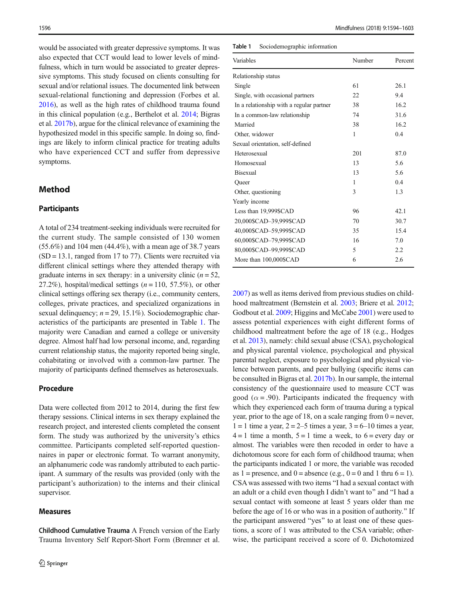would be associated with greater depressive symptoms. It was also expected that CCT would lead to lower levels of mindfulness, which in turn would be associated to greater depressive symptoms. This study focused on clients consulting for sexual and/or relational issues. The documented link between sexual-relational functioning and depression (Forbes et al. [2016\)](#page-8-0), as well as the high rates of childhood trauma found in this clinical population (e.g., Berthelot et al. [2014](#page-7-0); Bigras et al. [2017b](#page-7-0)), argue for the clinical relevance of examining the hypothesized model in this specific sample. In doing so, findings are likely to inform clinical practice for treating adults who have experienced CCT and suffer from depressive symptoms.

# Method

# **Participants**

A total of 234 treatment-seeking individuals were recruited for the current study. The sample consisted of 130 women (55.6%) and 104 men (44.4%), with a mean age of 38.7 years  $(SD = 13.1$ , ranged from 17 to 77). Clients were recruited via different clinical settings where they attended therapy with graduate interns in sex therapy: in a university clinic  $(n = 52)$ , 27.2%), hospital/medical settings  $(n = 110, 57.5\%)$ , or other clinical settings offering sex therapy (i.e., community centers, colleges, private practices, and specialized organizations in sexual delinquency;  $n = 29, 15.1\%$ ). Sociodemographic characteristics of the participants are presented in Table 1. The majority were Canadian and earned a college or university degree. Almost half had low personal income, and, regarding current relationship status, the majority reported being single, cohabitating or involved with a common-law partner. The majority of participants defined themselves as heterosexuals.

## Procedure

Data were collected from 2012 to 2014, during the first few therapy sessions. Clinical interns in sex therapy explained the research project, and interested clients completed the consent form. The study was authorized by the university's ethics committee. Participants completed self-reported questionnaires in paper or electronic format. To warrant anonymity, an alphanumeric code was randomly attributed to each participant. A summary of the results was provided (only with the participant's authorization) to the interns and their clinical supervisor.

### Measures

#### Table 1 Sociodemographic information

| Variables                                | Number | Percent |  |
|------------------------------------------|--------|---------|--|
| Relationship status                      |        |         |  |
| Single                                   | 61     | 26.1    |  |
| Single, with occasional partners         | 22     | 9.4     |  |
| In a relationship with a regular partner | 38     | 16.2    |  |
| In a common-law relationship             | 74     | 31.6    |  |
| Married                                  | 38     | 16.2    |  |
| Other, widower                           | 1      | 0.4     |  |
| Sexual orientation, self-defined         |        |         |  |
| Heterosexual                             | 201    | 87.0    |  |
| Homosexual                               | 13     | 5.6     |  |
| <b>Bisexual</b>                          | 13     | 5.6     |  |
| Oueer                                    | 1      | 0.4     |  |
| Other, questioning                       | 3      | 1.3     |  |
| Yearly income                            |        |         |  |
| Less than 19,999\$CAD                    | 96     | 42.1    |  |
| 20,000\$CAD-39,999\$CAD                  | 70     | 30.7    |  |
| 40,000\$CAD-59,999\$CAD                  | 35     | 15.4    |  |
| 60,000\$CAD-79,999\$CAD                  | 16     | 7.0     |  |
| 80,000\$CAD-99,999\$CAD                  | 5      | 2.2     |  |
| More than 100,000\$CAD                   | 6      | 2.6     |  |

[2007\)](#page-7-0) as well as items derived from previous studies on childhood maltreatment (Bernstein et al. [2003](#page-7-0); Briere et al. [2012;](#page-7-0) Godbout et al. [2009](#page-8-0); Higgins and McCabe [2001\)](#page-8-0) were used to assess potential experiences with eight different forms of childhood maltreatment before the age of 18 (e.g., Hodges et al. [2013](#page-8-0)), namely: child sexual abuse (CSA), psychological and physical parental violence, psychological and physical parental neglect, exposure to psychological and physical violence between parents, and peer bullying (specific items can be consulted in Bigras et al. [2017b](#page-7-0)). In our sample, the internal consistency of the questionnaire used to measure CCT was good ( $\alpha$  = .90). Participants indicated the frequency with which they experienced each form of trauma during a typical year, prior to the age of 18, on a scale ranging from  $0 =$  never,  $1 = 1$  time a year,  $2 = 2-5$  times a year,  $3 = 6-10$  times a year,  $4 = 1$  time a month,  $5 = 1$  time a week, to  $6 =$  every day or almost. The variables were then recoded in order to have a dichotomous score for each form of childhood trauma; when the participants indicated 1 or more, the variable was recoded as  $1 =$  presence, and  $0 =$  absence (e.g.,  $0 = 0$  and 1 thru  $6 = 1$ ). CSA was assessed with two items "I had a sexual contact with an adult or a child even though I didn't want to" and "I had a sexual contact with someone at least 5 years older than me before the age of 16 or who was in a position of authority." If the participant answered "yes" to at least one of these questions, a score of 1 was attributed to the CSA variable; otherwise, the participant received a score of 0. Dichotomized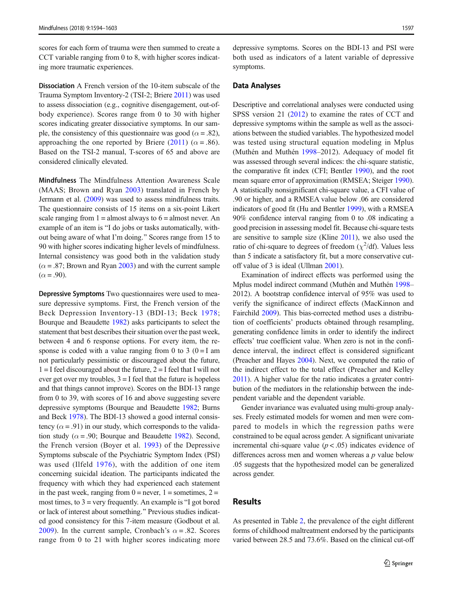scores for each form of trauma were then summed to create a CCT variable ranging from 0 to 8, with higher scores indicating more traumatic experiences.

Dissociation A French version of the 10-item subscale of the Trauma Symptom Inventory-2 (TSI-2; Briere [2011](#page-7-0)) was used to assess dissociation (e.g., cognitive disengagement, out-ofbody experience). Scores range from 0 to 30 with higher scores indicating greater dissociative symptoms. In our sample, the consistency of this questionnaire was good ( $\alpha$  = .82), approaching the one reported by Briere ([2011\)](#page-7-0) ( $\alpha$  = .86). Based on the TSI-2 manual, T-scores of 65 and above are considered clinically elevated.

Mindfulness The Mindfulness Attention Awareness Scale (MAAS; Brown and Ryan [2003](#page-7-0)) translated in French by Jermann et al. [\(2009\)](#page-8-0) was used to assess mindfulness traits. The questionnaire consists of 15 items on a six-point Likert scale ranging from  $1 =$  almost always to  $6 =$  almost never. An example of an item is "I do jobs or tasks automatically, without being aware of what I'm doing.^ Scores range from 15 to 90 with higher scores indicating higher levels of mindfulness. Internal consistency was good both in the validation study  $(\alpha = .87;$  Brown and Ryan [2003](#page-7-0)) and with the current sample  $(\alpha = .90)$ .

Depressive Symptoms Two questionnaires were used to measure depressive symptoms. First, the French version of the Beck Depression Inventory-13 (BDI-13; Beck [1978](#page-7-0); Bourque and Beaudette [1982\)](#page-7-0) asks participants to select the statement that best describes their situation over the past week, between 4 and 6 response options. For every item, the response is coded with a value ranging from 0 to 3  $(0 = I \text{ am})$ not particularly pessimistic or discouraged about the future,  $1 = I$  feel discouraged about the future,  $2 = I$  feel that I will not ever get over my troubles,  $3 = I$  feel that the future is hopeless and that things cannot improve). Scores on the BDI-13 range from 0 to 39, with scores of 16 and above suggesting severe depressive symptoms (Bourque and Beaudette [1982](#page-7-0); Burns and Beck [1978](#page-7-0)). The BDI-13 showed a good internal consistency ( $\alpha$  = .91) in our study, which corresponds to the validation study ( $\alpha$  = .90; Bourque and Beaudette [1982\)](#page-7-0). Second, the French version (Boyer et al. [1993](#page-7-0)) of the Depressive Symptoms subscale of the Psychiatric Symptom Index (PSI) was used (Ilfeld [1976\)](#page-8-0), with the addition of one item concerning suicidal ideation. The participants indicated the frequency with which they had experienced each statement in the past week, ranging from  $0 =$  never,  $1 =$  sometimes,  $2 =$ most times, to  $3 = \text{very frequently}$ . An example is "I got bored or lack of interest about something.^ Previous studies indicated good consistency for this 7-item measure (Godbout et al. [2009](#page-8-0)). In the current sample, Cronbach's  $\alpha$  = .82. Scores range from 0 to 21 with higher scores indicating more depressive symptoms. Scores on the BDI-13 and PSI were both used as indicators of a latent variable of depressive symptoms.

## Data Analyses

Descriptive and correlational analyses were conducted using SPSS version 21 ([2012\)](#page-8-0) to examine the rates of CCT and depressive symptoms within the sample as well as the associations between the studied variables. The hypothesized model was tested using structural equation modeling in Mplus (Muthén and Muthén [1998](#page-8-0)–2012). Adequacy of model fit was assessed through several indices: the chi-square statistic, the comparative fit index (CFI; Bentler [1990](#page-7-0)), and the root mean square error of approximation (RMSEA; Steiger [1990\)](#page-8-0). A statistically nonsignificant chi-square value, a CFI value of .90 or higher, and a RMSEA value below .06 are considered indicators of good fit (Hu and Bentler [1999\)](#page-8-0), with a RMSEA 90% confidence interval ranging from 0 to .08 indicating a good precision in assessing model fit. Because chi-square tests are sensitive to sample size (Kline [2011](#page-8-0)), we also used the ratio of chi-square to degrees of freedom ( $\chi^2$ /df). Values less than 5 indicate a satisfactory fit, but a more conservative cutoff value of 3 is ideal (Ullman [2001\)](#page-9-0).

Examination of indirect effects was performed using the Mplus model indirect command (Muthén and Muthén [1998](#page-8-0)– 2012). A bootstrap confidence interval of 95% was used to verify the significance of indirect effects (MacKinnon and Fairchild [2009\)](#page-8-0). This bias-corrected method uses a distribution of coefficients' products obtained through resampling, generating confidence limits in order to identify the indirect effects' true coefficient value. When zero is not in the confidence interval, the indirect effect is considered significant (Preacher and Hayes [2004\)](#page-8-0). Next, we computed the ratio of the indirect effect to the total effect (Preacher and Kelley [2011](#page-8-0)). A higher value for the ratio indicates a greater contribution of the mediators in the relationship between the independent variable and the dependent variable.

Gender invariance was evaluated using multi-group analyses. Freely estimated models for women and men were compared to models in which the regression paths were constrained to be equal across gender. A significant univariate incremental chi-square value  $(p < .05)$  indicates evidence of differences across men and women whereas a  $p$  value below .05 suggests that the hypothesized model can be generalized across gender.

## Results

As presented in Table [2](#page-4-0), the prevalence of the eight different forms of childhood maltreatment endorsed by the participants varied between 28.5 and 73.6%. Based on the clinical cut-off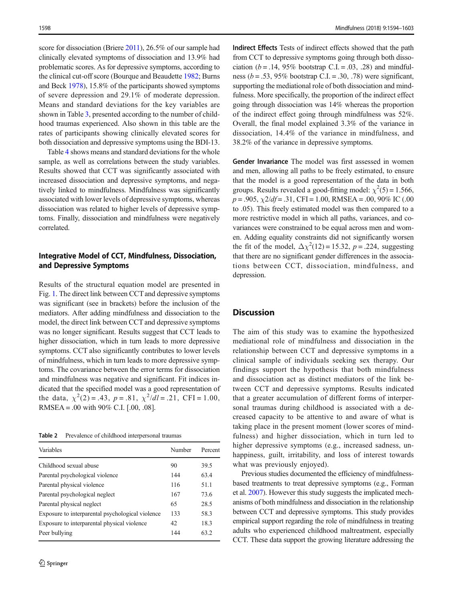<span id="page-4-0"></span>score for dissociation (Briere [2011](#page-7-0)), 26.5% of our sample had clinically elevated symptoms of dissociation and 13.9% had problematic scores. As for depressive symptoms, according to the clinical cut-off score (Bourque and Beaudette [1982](#page-7-0); Burns and Beck [1978](#page-7-0)), 15.8% of the participants showed symptoms of severe depression and 29.1% of moderate depression. Means and standard deviations for the key variables are shown in Table [3,](#page-5-0) presented according to the number of childhood traumas experienced. Also shown in this table are the rates of participants showing clinically elevated scores for both dissociation and depressive symptoms using the BDI-13.

Table [4](#page-5-0) shows means and standard deviations for the whole sample, as well as correlations between the study variables. Results showed that CCT was significantly associated with increased dissociation and depressive symptoms, and negatively linked to mindfulness. Mindfulness was significantly associated with lower levels of depressive symptoms, whereas dissociation was related to higher levels of depressive symptoms. Finally, dissociation and mindfulness were negatively correlated.

# Integrative Model of CCT, Mindfulness, Dissociation, and Depressive Symptoms

Results of the structural equation model are presented in Fig. [1](#page-6-0). The direct link between CCT and depressive symptoms was significant (see in brackets) before the inclusion of the mediators. After adding mindfulness and dissociation to the model, the direct link between CCT and depressive symptoms was no longer significant. Results suggest that CCT leads to higher dissociation, which in turn leads to more depressive symptoms. CCT also significantly contributes to lower levels of mindfulness, which in turn leads to more depressive symptoms. The covariance between the error terms for dissociation and mindfulness was negative and significant. Fit indices indicated that the specified model was a good representation of the data,  $\chi^2(2) = .43$ ,  $p = .81$ ,  $\chi^2/dl = .21$ , CFI = 1.00, RMSEA = .00 with 90% C.I. [.00, .08].

Table 2 Prevalence of childhood interpersonal traumas

| Variables                                        | Number | Percent |  |
|--------------------------------------------------|--------|---------|--|
| Childhood sexual abuse                           | 90     | 39.5    |  |
| Parental psychological violence                  | 144    | 63.4    |  |
| Parental physical violence                       | 116    | 51.1    |  |
| Parental psychological neglect                   | 167    | 73.6    |  |
| Parental physical neglect                        | 65     | 28.5    |  |
| Exposure to interparental psychological violence | 133    | 58.3    |  |
| Exposure to interparental physical violence      | 42     | 18.3    |  |
| Peer bullying                                    | 144    | 63.2    |  |

Indirect Effects Tests of indirect effects showed that the path from CCT to depressive symptoms going through both dissociation ( $b = .14$ , 95% bootstrap C.I. = .03, .28) and mindfulness ( $b = .53$ , 95% bootstrap C.I. = .30, .78) were significant. supporting the mediational role of both dissociation and mindfulness. More specifically, the proportion of the indirect effect going through dissociation was 14% whereas the proportion of the indirect effect going through mindfulness was 52%. Overall, the final model explained 3.3% of the variance in dissociation, 14.4% of the variance in mindfulness, and 38.2% of the variance in depressive symptoms.

Gender Invariance The model was first assessed in women and men, allowing all paths to be freely estimated, to ensure that the model is a good representation of the data in both groups. Results revealed a good-fitting model:  $\chi^2(5) = 1.566$ ,  $p = .905$ ,  $\chi$ 2/df = .31, CFI = 1.00, RMSEA = .00, 90% IC (.00 to .05). This freely estimated model was then compared to a more restrictive model in which all paths, variances, and covariances were constrained to be equal across men and women. Adding equality constraints did not significantly worsen the fit of the model,  $\Delta \chi^2(12) = 15.32$ ,  $p = .224$ , suggesting that there are no significant gender differences in the associations between CCT, dissociation, mindfulness, and depression.

# **Discussion**

The aim of this study was to examine the hypothesized mediational role of mindfulness and dissociation in the relationship between CCT and depressive symptoms in a clinical sample of individuals seeking sex therapy. Our findings support the hypothesis that both mindfulness and dissociation act as distinct mediators of the link between CCT and depressive symptoms. Results indicated that a greater accumulation of different forms of interpersonal traumas during childhood is associated with a decreased capacity to be attentive to and aware of what is taking place in the present moment (lower scores of mindfulness) and higher dissociation, which in turn led to higher depressive symptoms (e.g., increased sadness, unhappiness, guilt, irritability, and loss of interest towards what was previously enjoyed).

Previous studies documented the efficiency of mindfulnessbased treatments to treat depressive symptoms (e.g., Forman et al. [2007\)](#page-8-0). However this study suggests the implicated mechanisms of both mindfulness and dissociation in the relationship between CCT and depressive symptoms. This study provides empirical support regarding the role of mindfulness in treating adults who experienced childhood maltreatment, especially CCT. These data support the growing literature addressing the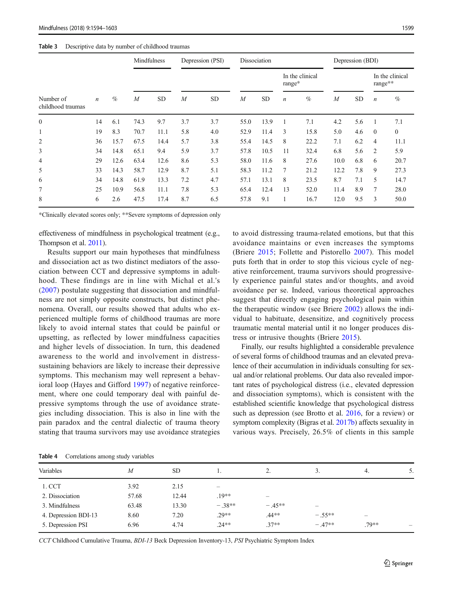#### <span id="page-5-0"></span>Table 3 Descriptive data by number of childhood traumas

|                                | $\boldsymbol{n}$ | $\%$ | Mindfulness    |           | Depression (PSI) |           | Dissociation   |           |                           | Depression (BDI) |                  |           |                            |              |
|--------------------------------|------------------|------|----------------|-----------|------------------|-----------|----------------|-----------|---------------------------|------------------|------------------|-----------|----------------------------|--------------|
|                                |                  |      |                |           |                  |           |                |           | In the clinical<br>range* |                  |                  |           | In the clinical<br>range** |              |
| Number of<br>childhood traumas |                  |      | $\overline{M}$ | <b>SD</b> | M                | <b>SD</b> | $\overline{M}$ | <b>SD</b> | $\boldsymbol{n}$          | $\%$             | $\boldsymbol{M}$ | <b>SD</b> | $\boldsymbol{n}$           | $\%$         |
| $\overline{0}$                 | 14               | 6.1  | 74.3           | 9.7       | 3.7              | 3.7       | 55.0           | 13.9      |                           | 7.1              | 4.2              | 5.6       |                            | 7.1          |
|                                | 19               | 8.3  | 70.7           | 11.1      | 5.8              | 4.0       | 52.9           | 11.4      | 3                         | 15.8             | 5.0              | 4.6       | $\theta$                   | $\mathbf{0}$ |
| 2                              | 36               | 15.7 | 67.5           | 14.4      | 5.7              | 3.8       | 55.4           | 14.5      | 8                         | 22.2             | 7.1              | 6.2       | $\overline{4}$             | 11.1         |
| 3                              | 34               | 14.8 | 65.1           | 9.4       | 5.9              | 3.7       | 57.8           | 10.5      | 11                        | 32.4             | 6.8              | 5.6       | 2                          | 5.9          |
| 4                              | 29               | 12.6 | 63.4           | 12.6      | 8.6              | 5.3       | 58.0           | 11.6      | 8                         | 27.6             | 10.0             | 6.8       | 6                          | 20.7         |
| 5                              | 33               | 14.3 | 58.7           | 12.9      | 8.7              | 5.1       | 58.3           | 11.2      | $\tau$                    | 21.2             | 12.2             | 7.8       | 9                          | 27.3         |
| 6                              | 34               | 14.8 | 61.9           | 13.3      | 7.2              | 4.7       | 57.1           | 13.1      | 8                         | 23.5             | 8.7              | 7.1       | 5                          | 14.7         |
| 7                              | 25               | 10.9 | 56.8           | 11.1      | 7.8              | 5.3       | 65.4           | 12.4      | 13                        | 52.0             | 11.4             | 8.9       | 7                          | 28.0         |
| 8                              | 6                | 2.6  | 47.5           | 17.4      | 8.7              | 6.5       | 57.8           | 9.1       |                           | 16.7             | 12.0             | 9.5       | 3                          | 50.0         |

\*Clinically elevated scores only; \*\*Severe symptoms of depression only

effectiveness of mindfulness in psychological treatment (e.g., Thompson et al. [2011\)](#page-9-0).

Results support our main hypotheses that mindfulness and dissociation act as two distinct mediators of the association between CCT and depressive symptoms in adulthood. These findings are in line with Michal et al.'s [\(2007\)](#page-8-0) postulate suggesting that dissociation and mindfulness are not simply opposite constructs, but distinct phenomena. Overall, our results showed that adults who experienced multiple forms of childhood traumas are more likely to avoid internal states that could be painful or upsetting, as reflected by lower mindfulness capacities and higher levels of dissociation. In turn, this deadened awareness to the world and involvement in distresssustaining behaviors are likely to increase their depressive symptoms. This mechanism may well represent a behavioral loop (Hayes and Gifford [1997](#page-8-0)) of negative reinforcement, where one could temporary deal with painful depressive symptoms through the use of avoidance strategies including dissociation. This is also in line with the pain paradox and the central dialectic of trauma theory stating that trauma survivors may use avoidance strategies to avoid distressing trauma-related emotions, but that this avoidance maintains or even increases the symptoms (Briere [2015;](#page-7-0) Follette and Pistorello [2007\)](#page-8-0). This model puts forth that in order to stop this vicious cycle of negative reinforcement, trauma survivors should progressively experience painful states and/or thoughts, and avoid avoidance per se. Indeed, various theoretical approaches suggest that directly engaging psychological pain within the therapeutic window (see Briere [2002\)](#page-7-0) allows the individual to habituate, desensitize, and cognitively process traumatic mental material until it no longer produces distress or intrusive thoughts (Briere [2015\)](#page-7-0).

Finally, our results highlighted a considerable prevalence of several forms of childhood traumas and an elevated prevalence of their accumulation in individuals consulting for sexual and/or relational problems. Our data also revealed important rates of psychological distress (i.e., elevated depression and dissociation symptoms), which is consistent with the established scientific knowledge that psychological distress such as depression (see Brotto et al. [2016](#page-7-0), for a review) or symptom complexity (Bigras et al. [2017b](#page-7-0)) affects sexuality in various ways. Precisely, 26.5% of clients in this sample

Table 4 Correlations among study variables

| Variables            | M     | <b>SD</b> | ı.       | 2.                       | 3.                       | -4.     | 5. |
|----------------------|-------|-----------|----------|--------------------------|--------------------------|---------|----|
| 1. CCT               | 3.92  | 2.15      | -        |                          |                          |         |    |
| 2. Dissociation      | 57.68 | 12.44     | $.19**$  | $\overline{\phantom{0}}$ |                          |         |    |
| 3. Mindfulness       | 63.48 | 13.30     | $-.38**$ | $-.45**$                 | $\overline{\phantom{0}}$ |         |    |
| 4. Depression BDI-13 | 8.60  | 7.20      | $.29**$  | $.44**$                  | $-.55**$                 | -       |    |
| 5. Depression PSI    | 6.96  | 4.74      | $.24**$  | $.37**$                  | $-.47**$                 | $.79**$ |    |
|                      |       |           |          |                          |                          |         |    |

CCT Childhood Cumulative Trauma, BDI-13 Beck Depression Inventory-13, PSI Psychiatric Symptom Index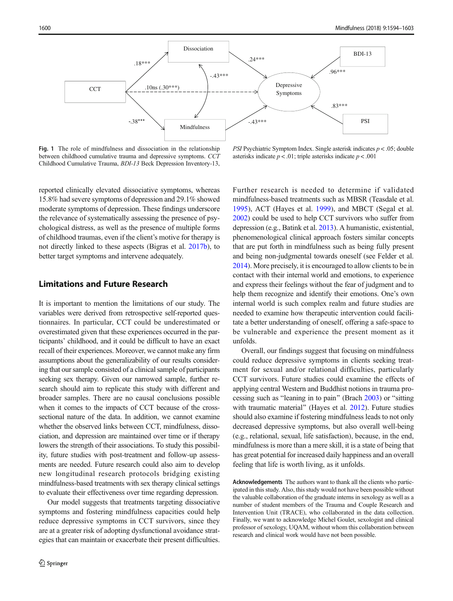<span id="page-6-0"></span>

Fig. 1 The role of mindfulness and dissociation in the relationship between childhood cumulative trauma and depressive symptoms. CCT Childhood Cumulative Trauma, BDI-13 Beck Depression Inventory-13,

*PSI* Psychiatric Symptom Index. Single asterisk indicates  $p < .05$ ; double asterisks indicate  $p < .01$ ; triple asterisks indicate  $p < .001$ 

reported clinically elevated dissociative symptoms, whereas 15.8% had severe symptoms of depression and 29.1% showed moderate symptoms of depression. These findings underscore the relevance of systematically assessing the presence of psychological distress, as well as the presence of multiple forms of childhood traumas, even if the client's motive for therapy is not directly linked to these aspects (Bigras et al. [2017b](#page-7-0)), to better target symptoms and intervene adequately.

## Limitations and Future Research

It is important to mention the limitations of our study. The variables were derived from retrospective self-reported questionnaires. In particular, CCT could be underestimated or overestimated given that these experiences occurred in the participants' childhood, and it could be difficult to have an exact recall of their experiences. Moreover, we cannot make any firm assumptions about the generalizability of our results considering that our sample consisted of a clinical sample of participants seeking sex therapy. Given our narrowed sample, further research should aim to replicate this study with different and broader samples. There are no causal conclusions possible when it comes to the impacts of CCT because of the crosssectional nature of the data. In addition, we cannot examine whether the observed links between CCT, mindfulness, dissociation, and depression are maintained over time or if therapy lowers the strength of their associations. To study this possibility, future studies with post-treatment and follow-up assessments are needed. Future research could also aim to develop new longitudinal research protocols bridging existing mindfulness-based treatments with sex therapy clinical settings to evaluate their effectiveness over time regarding depression.

Our model suggests that treatments targeting dissociative symptoms and fostering mindfulness capacities could help reduce depressive symptoms in CCT survivors, since they are at a greater risk of adopting dysfunctional avoidance strategies that can maintain or exacerbate their present difficulties.

Further research is needed to determine if validated mindfulness-based treatments such as MBSR (Teasdale et al. [1995](#page-8-0)), ACT (Hayes et al. [1999](#page-8-0)), and MBCT (Segal et al. [2002\)](#page-8-0) could be used to help CCT survivors who suffer from depression (e.g., Batink et al. [2013\)](#page-7-0). A humanistic, existential, phenomenological clinical approach fosters similar concepts that are put forth in mindfulness such as being fully present and being non-judgmental towards oneself (see Felder et al. [2014\)](#page-8-0). More precisely, it is encouraged to allow clients to be in contact with their internal world and emotions, to experience and express their feelings without the fear of judgment and to help them recognize and identify their emotions. One's own internal world is such complex realm and future studies are needed to examine how therapeutic intervention could facilitate a better understanding of oneself, offering a safe-space to be vulnerable and experience the present moment as it unfolds.

Overall, our findings suggest that focusing on mindfulness could reduce depressive symptoms in clients seeking treatment for sexual and/or relational difficulties, particularly CCT survivors. Future studies could examine the effects of applying central Western and Buddhist notions in trauma processing such as "leaning in to pain" (Brach  $2003$ ) or "sitting with traumatic material" (Hayes et al. [2012\)](#page-8-0). Future studies should also examine if fostering mindfulness leads to not only decreased depressive symptoms, but also overall well-being (e.g., relational, sexual, life satisfaction), because, in the end, mindfulness is more than a mere skill, it is a state of being that has great potential for increased daily happiness and an overall feeling that life is worth living, as it unfolds.

Acknowledgements The authors want to thank all the clients who participated in this study. Also, this study would not have been possible without the valuable collaboration of the graduate interns in sexology as well as a number of student members of the Trauma and Couple Research and Intervention Unit (TRACE), who collaborated in the data collection. Finally, we want to acknowledge Michel Goulet, sexologist and clinical professor of sexology, UQAM, without whom this collaboration between research and clinical work would have not been possible.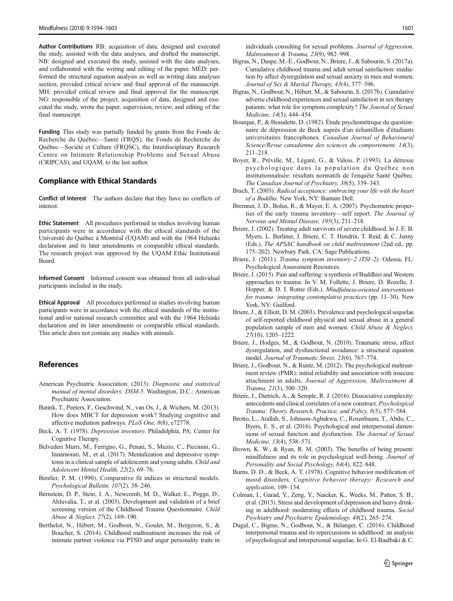<span id="page-7-0"></span>Author Contributions RB: acquisition of data, designed and executed the study, assisted with the data analyses, and drafted the manuscript. NB: designed and executed the study, assisted with the data analyses, and collaborated with the writing and editing of the paper. MÈD: performed the structural equation analysis as well as writing data analyses section, provided critical review and final approval of the manuscript. MH: provided critical review and final approval for the manuscript. NG: responsible of the project, acquisition of data, designed and executed the study, wrote the paper, supervision, review, and editing of the final manuscript.

Funding This study was partially funded by grants from the Fonds de Recherche du Québec—Santé (FRQS), the Fonds de Recherche du Québec—Société et Culture (FRQSC), the Interdisciplinary Research Centre on Intimate Relationship Problems and Sexual Abuse (CRIPCAS), and UQAM, to the last author.

#### Compliance with Ethical Standards

Conflict of Interest The authors declare that they have no conflicts of interest.

Ethic Statement All procedures performed in studies involving human participants were in accordance with the ethical standards of the Université du Québec à Montréal (UQAM) and with the 1964 Helsinki declaration and its later amendments or comparable ethical standards. The research project was approved by the UQAM Ethic Institutional Board.

Informed Consent Informed consent was obtained from all individual participants included in the study.

Ethical Approval All procedures performed in studies involving human participants were in accordance with the ethical standards of the institutional and/or national research committee and with the 1964 Helsinki declaration and its later amendments or comparable ethical standards. This article does not contain any studies with animals.

#### References

- American Psychiatric Association. (2013). Diagnostic and statistical manual of mental disorders: DSM-5. Washington, D.C.: American Psychiatric Association.
- Batink, T., Peeters, F., Geschwind, N., van Os, J., & Wichers, M. (2013). How does MBCT for depression work? Studying cognitive and affective mediation pathways. PLoS One, 8(8), e72778.
- Beck, A. T. (1978). Depression inventory. Philadelphia, PA: Center for Cognitive Therapy.
- Belvederi Murri, M., Ferrigno, G., Penati, S., Muzio, C., Piccinini, G., Innamorati, M., et al. (2017). Mentalization and depressive symptoms in a clinical sample of adolescents and young adults. Child and Adolescent Mental Health, 22(2), 69–76.
- Bentler, P. M. (1990). Comparative fit indices in structural models. Psychological Bulletin, 107(2), 38–246.
- Bernstein, D. P., Stein, J. A., Newcomb, M. D., Walker, E., Pogge, D., Ahluvalia, T., et al. (2003). Development and validation of a brief screening version of the Childhood Trauma Questionnaire. Child Abuse & Neglect, 27(2), 169–190.
- Berthelot, N., Hébert, M., Godbout, N., Goulet, M., Bergeron, S., & Boucher, S. (2014). Childhood maltreatment increases the risk of intimate partner violence via PTSD and anger personality traits in

individuals consulting for sexual problems. Journal of Aggression, Maltreatment & Trauma, 23(9), 982–998.

- Bigras, N., Daspe, M.-È., Godbout, N., Briere, J., & Sabourin, S. (2017a). Cumulative childhood trauma and adult sexual satisfaction: mediation by affect dysregulation and sexual anxiety in men and women. Journal of Sex & Marital Therapy, 43(4), 377–396.
- Bigras, N., Godbout, N., Hébert, M., & Sabourin, S. (2017b). Cumulative adverse childhood experiences and sexual satisfaction in sex therapy patients: what role for symptom complexity? The Journal of Sexual Medicine, 14(3), 444–454.
- Bourque, P., & Beaudette, D. (1982). Étude psychométrique du questionnaire de dépression de Beck auprès d'un échantillon d'étudiants universitaires francophones. Canadian Journal of Behavioural Science/Revue canadienne des sciences du comportement, 14(3), 211–218.
- Boyer, R., Préville, M., Légaré, G., & Valois, P. (1993). La détresse psychologique dans la population du Québec non institutionnalisée: résultats normatifs de l'enquête Santé Québec. The Canadian Journal of Psychiatry, 38(5), 339–343.
- Brach, T. (2003). Radical acceptance: embracing your life with the heart of a Buddha. New York, NY: Bantam Dell.
- Bremner, J. D., Bolus, R., & Mayer, E. A. (2007). Psychometric properties of the early trauma inventory—self report. The Journal of Nervous and Mental Disease, 195(3), 211–218.
- Briere, J. (2002). Treating adult survivors of severe childhood. In J. E. B. Myers, L. Berliner, J. Briere, C. T. Hendrix, T. Reid, & C. Jenny (Eds.), The APSAC handbook on child maltreatment (2nd ed., pp. 175–202). Newbury Park, CA: Sage Publications.
- Briere, J. (2011). Trauma symptom inventory–2 (TSI–2). Odessa, FL: Psychological Assessment Resources.
- Briere, J. (2015). Pain and suffering: a synthesis of Buddhist and Western approaches to trauma. In V. M. Follette, J. Briere, D. Rozelle, J. Hopper, & D. I. Rome (Eds.), Mindfulness-oriented interventions for trauma: integrating contemplative practices (pp. 11–30). New York, NY: Guilford.
- Briere, J., & Elliott, D. M. (2003). Prevalence and psychological sequelae of self-reported childhood physical and sexual abuse in a general population sample of men and women. Child Abuse & Neglect, 27(10), 1205–1222.
- Briere, J., Hodges, M., & Godbout, N. (2010). Traumatic stress, affect dysregulation, and dysfunctional avoidance: a structural equation model. Journal of Traumatic Stress, 23(6), 767–774.
- Briere, J., Godbout, N., & Runtz, M. (2012). The psychological maltreatment review (PMR): initial reliability and association with insecure attachment in adults. Journal of Aggression, Maltreatment & Trauma, 21(3), 300–320.
- Briere, J., Dietrich, A., & Semple, R. J. (2016). Dissociative complexity: antecedents and clinical correlates of a new construct. Psychological Trauma: Theory, Research, Practice, and Policy, 8(5), 577–584.
- Brotto, L., Atallah, S., Johnson-Agbakwu, C., Rosenbaum, T., Abdo, C., Byers, E. S., et al. (2016). Psychological and interpersonal dimensions of sexual function and dysfunction. The Journal of Sexual Medicine, 13(4), 538–571.
- Brown, K. W., & Ryan, R. M. (2003). The benefits of being present: mindfulness and its role in psychological well-being. Journal of Personality and Social Psychology, 84(4), 822–848.
- Burns, D. D., & Beck, A. T. (1978). Cognitive behavior modification of mood disorders. Cognitive behavior therapy: Research and application, 109–134.
- Colman, I., Garad, Y., Zeng, Y., Naicker, K., Weeks, M., Patten, S. B., et al. (2013). Stress and development of depression and heavy drinking in adulthood: moderating effects of childhood trauma. Social Psychiatry and Psychiatric Epidemiology, 48(2), 265–274.
- Dugal, C., Bigras, N., Godbout, N., & Bélanger, C. (2016). Childhood interpersonal trauma and its repercussions in adulthood: an analysis of psychological and interpersonal sequelae. In G. El-Baalbaki & C.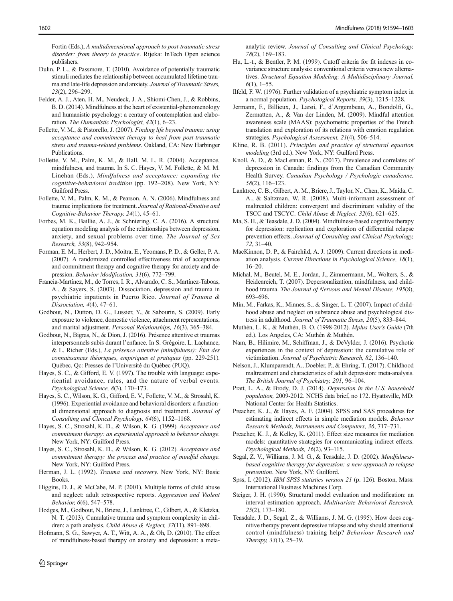<span id="page-8-0"></span>Fortin (Eds.), A multidimensional approach to post-traumatic stress disorder: from theory to practice. Rijeka: InTech Open science publishers.

- Dulin, P. L., & Passmore, T. (2010). Avoidance of potentially traumatic stimuli mediates the relationship between accumulated lifetime trauma and late-life depression and anxiety. Journal of Traumatic Stress, 23(2), 296–299.
- Felder, A. J., Aten, H. M., Neudeck, J. A., Shiomi-Chen, J., & Robbins, B. D. (2014). Mindfulness at the heart of existential-phenomenology and humanistic psychology: a century of contemplation and elaboration. The Humanistic Psychologist, 42(1), 6–23.
- Follette, V. M., & Pistorello, J. (2007). Finding life beyond trauma: using acceptance and commitment therapy to heal from post-traumatic stress and trauma-related problems. Oakland, CA: New Harbinger Publications.
- Follette, V. M., Palm, K. M., & Hall, M. L. R. (2004). Acceptance, mindfulness, and trauma. In S. C. Hayes, V. M. Follette, & M. M. Linehan (Eds.), Mindfulness and acceptance: expanding the cognitive-behavioral tradition (pp. 192–208). New York, NY: Guilford Press.
- Follette, V. M., Palm, K. M., & Pearson, A. N. (2006). Mindfulness and trauma: implications for treatment. Journal of Rational-Emotive and Cognitive-Behavior Therapy, 24(1), 45–61.
- Forbes, M. K., Baillie, A. J., & Schniering, C. A. (2016). A structural equation modeling analysis of the relationships between depression, anxiety, and sexual problems over time. The Journal of Sex Research, 53(8), 942–954.
- Forman, E. M., Herbert, J. D., Moitra, E., Yeomans, P. D., & Geller, P. A. (2007). A randomized controlled effectiveness trial of acceptance and commitment therapy and cognitive therapy for anxiety and depression. Behavior Modification, 31(6), 772–799.
- Francia-Martínez, M., de Torres, I. R., Alvarado, C. S., Martínez-Taboas, A., & Sayers, S. (2003). Dissociation, depression and trauma in psychiatric inpatients in Puerto Rico. Journal of Trauma & Dissociation, 4(4), 47–61.
- Godbout, N., Dutton, D. G., Lussier, Y., & Sabourin, S. (2009). Early exposure to violence, domestic violence, attachment representations, and marital adjustment. Personal Relationships, 16(3), 365–384.
- Godbout, N., Bigras, N., & Dion, J. (2016). Présence attentive et traumas interpersonnels subis durant l'enfance. In S. Grégoire, L. Lachance, & L. Richer (Eds.), La présence attentive (mindfulness): État des connaissances théoriques, empiriques et pratiques (pp. 229-251). Québec, Qc: Presses de l'Université du Québec (PUQ).
- Hayes, S. C., & Gifford, E. V. (1997). The trouble with language: experiential avoidance, rules, and the nature of verbal events. Psychological Science, 8(3), 170–173.
- Hayes, S. C., Wilson, K. G., Gifford, E. V., Follette, V. M., & Strosahl, K. (1996). Experiential avoidance and behavioral disorders: a functional dimensional approach to diagnosis and treatment. Journal of Consulting and Clinical Psychology, 64(6), 1152–1168.
- Hayes, S. C., Strosahl, K. D., & Wilson, K. G. (1999). Acceptance and commitment therapy: an experiential approach to behavior change. New York, NY: Guilford Press.
- Hayes, S. C., Strosahl, K. D., & Wilson, K. G. (2012). Acceptance and commitment therapy: the process and practice of mindful change. New York, NY: Guilford Press.
- Herman, J. L. (1992). Trauma and recovery. New York, NY: Basic Books.
- Higgins, D. J., & McCabe, M. P. (2001). Multiple forms of child abuse and neglect: adult retrospective reports. Aggression and Violent Behavior, 6(6), 547–578.
- Hodges, M., Godbout, N., Briere, J., Lanktree, C., Gilbert, A., & Kletzka, N. T. (2013). Cumulative trauma and symptom complexity in children: a path analysis. Child Abuse & Neglect, 37(11), 891-898.
- Hofmann, S. G., Sawyer, A. T., Witt, A. A., & Oh, D. (2010). The effect of mindfulness-based therapy on anxiety and depression: a meta-

analytic review. Journal of Consulting and Clinical Psychology, 78(2), 169–183.

- Hu, L.-t., & Bentler, P. M. (1999). Cutoff criteria for fit indexes in covariance structure analysis: conventional criteria versus new alternatives. Structural Equation Modeling: A Multidisciplinary Journal, 6(1), 1–55.
- Ilfeld, F. W. (1976). Further validation of a psychiatric symptom index in a normal population. Psychological Reports, 39(3), 1215–1228.
- Jermann, F., Billieux, J., Larøi, F., d'Argembeau, A., Bondolfi, G., Zermatten, A., & Van der Linden, M. (2009). Mindful attention awareness scale (MAAS): psychometric properties of the French translation and exploration of its relations with emotion regulation strategies. Psychological Assessment, 21(4), 506–514.
- Kline, R. B. (2011). Principles and practice of structural equation modeling (3rd ed.). New York, NY: Guilford Press.
- Knoll, A. D., & MacLennan, R. N. (2017). Prevalence and correlates of depression in Canada: findings from the Canadian Community Health Survey. Canadian Psychology / Psychologie canadienne, 58(2), 116–123.
- Lanktree, C. B., Gilbert, A. M., Briere, J., Taylor, N., Chen, K., Maida, C. A., & Saltzman, W. R. (2008). Multi-informant assessment of maltreated children: convergent and discriminant validity of the TSCC and TSCYC. Child Abuse & Neglect, 32(6), 621–625.
- Ma, S. H., & Teasdale, J. D. (2004). Mindfulness-based cognitive therapy for depression: replication and exploration of differential relapse prevention effects. Journal of Consulting and Clinical Psychology, 72, 31–40.
- MacKinnon, D. P., & Fairchild, A. J. (2009). Current directions in mediation analysis. Current Directions in Psychological Science, 18(1), 16–20.
- Michal, M., Beutel, M. E., Jordan, J., Zimmermann, M., Wolters, S., & Heidenreich, T. (2007). Depersonalization, mindfulness, and childhood trauma. The Journal of Nervous and Mental Disease, 195(8), 693–696.
- Min, M., Farkas, K., Minnes, S., & Singer, L. T. (2007). Impact of childhood abuse and neglect on substance abuse and psychological distress in adulthood. Journal of Traumatic Stress, 20(5), 833–844.
- Muthén, L. K., & Muthén, B. O. (1998-2012). Mplus User's Guide (7th ed.). Los Angeles, CA: Muthén & Muthén.
- Nam, B., Hilimire, M., Schiffman, J., & DeVylder, J. (2016). Psychotic experiences in the context of depression: the cumulative role of victimization. Journal of Psychiatric Research, 82, 136–140.
- Nelson, J., Klumparendt, A., Doebler, P., & Ehring, T. (2017). Childhood maltreatment and characteristics of adult depression: meta-analysis. The British Journal of Psychiatry, 201, 96–104.
- Pratt, L. A., & Brody, D. J. (2014). Depression in the U.S. household population, 2009-2012. NCHS data brief, no 172. Hyattsville, MD: National Center for Health Statistics.
- Preacher, K. J., & Hayes, A. F. (2004). SPSS and SAS procedures for estimating indirect effects in simple mediation models. Behavior Research Methods, Instruments and Computers, 36, 717–731.
- Preacher, K. J., & Kelley, K. (2011). Effect size measures for mediation models: quantitative strategies for communicating indirect effects. Psychological Methods, 16(2), 93–115.
- Segal, Z. V., Williams, J. M. G., & Teasdale, J. D. (2002). Mindfulnessbased cognitive therapy for depression: a new approach to relapse prevention. New York, NY: Guilford.
- Spss, I. (2012). IBM SPSS statistics version 21 (p. 126). Boston, Mass: International Business Machines Corp.
- Steiger, J. H. (1990). Structural model evaluation and modification: an interval estimation approach. Multivariate Behavioral Research, 25(2), 173–180.
- Teasdale, J. D., Segal, Z., & Williams, J. M. G. (1995). How does cognitive therapy prevent depressive relapse and why should attentional control (mindfulness) training help? Behaviour Research and Therapy, 33(1), 25–39.